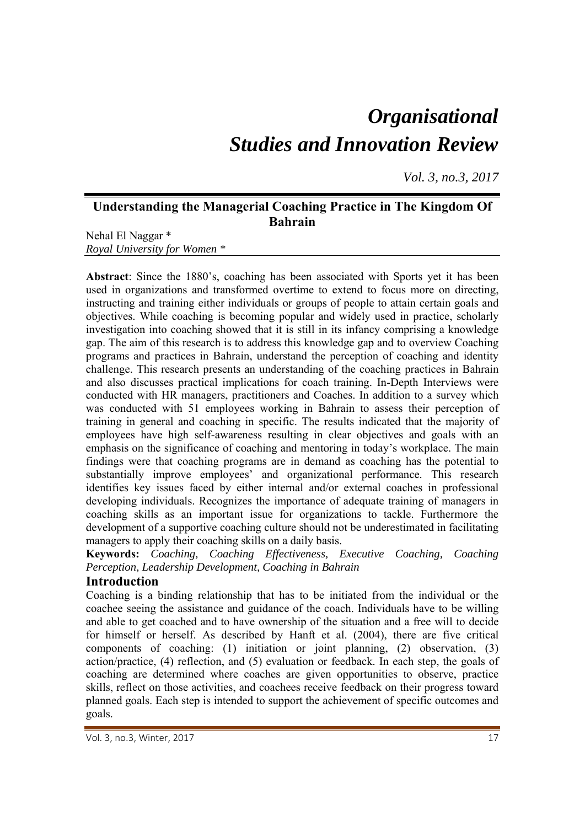# *Organisational Studies and Innovation Review*

*Vol. 3, no.3, 2017*

## **Understanding the Managerial Coaching Practice in The Kingdom Of Bahrain**

Nehal El Naggar \* *Royal University for Women \** 

**Abstract**: Since the 1880's, coaching has been associated with Sports yet it has been used in organizations and transformed overtime to extend to focus more on directing, instructing and training either individuals or groups of people to attain certain goals and objectives. While coaching is becoming popular and widely used in practice, scholarly investigation into coaching showed that it is still in its infancy comprising a knowledge gap. The aim of this research is to address this knowledge gap and to overview Coaching programs and practices in Bahrain, understand the perception of coaching and identity challenge. This research presents an understanding of the coaching practices in Bahrain and also discusses practical implications for coach training. In-Depth Interviews were conducted with HR managers, practitioners and Coaches. In addition to a survey which was conducted with 51 employees working in Bahrain to assess their perception of training in general and coaching in specific. The results indicated that the majority of employees have high self-awareness resulting in clear objectives and goals with an emphasis on the significance of coaching and mentoring in today's workplace. The main findings were that coaching programs are in demand as coaching has the potential to substantially improve employees' and organizational performance. This research identifies key issues faced by either internal and/or external coaches in professional developing individuals. Recognizes the importance of adequate training of managers in coaching skills as an important issue for organizations to tackle. Furthermore the development of a supportive coaching culture should not be underestimated in facilitating managers to apply their coaching skills on a daily basis.

**Keywords:** *Coaching, Coaching Effectiveness, Executive Coaching, Coaching Perception, Leadership Development, Coaching in Bahrain* 

## **Introduction**

Coaching is a binding relationship that has to be initiated from the individual or the coachee seeing the assistance and guidance of the coach. Individuals have to be willing and able to get coached and to have ownership of the situation and a free will to decide for himself or herself. As described by Hanft et al. (2004), there are five critical components of coaching: (1) initiation or joint planning, (2) observation, (3) action/practice, (4) reflection, and (5) evaluation or feedback. In each step, the goals of coaching are determined where coaches are given opportunities to observe, practice skills, reflect on those activities, and coachees receive feedback on their progress toward planned goals. Each step is intended to support the achievement of specific outcomes and goals.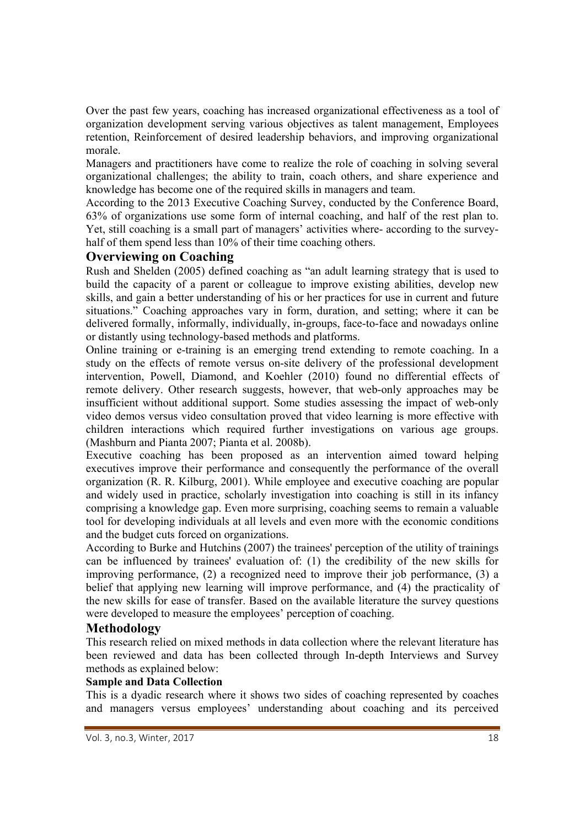Over the past few years, coaching has increased organizational effectiveness as a tool of organization development serving various objectives as talent management, Employees retention, Reinforcement of desired leadership behaviors, and improving organizational morale.

Managers and practitioners have come to realize the role of coaching in solving several organizational challenges; the ability to train, coach others, and share experience and knowledge has become one of the required skills in managers and team.

According to the 2013 Executive Coaching Survey, conducted by the Conference Board, 63% of organizations use some form of internal coaching, and half of the rest plan to. Yet, still coaching is a small part of managers' activities where- according to the surveyhalf of them spend less than 10% of their time coaching others.

## **Overviewing on Coaching**

Rush and Shelden (2005) defined coaching as "an adult learning strategy that is used to build the capacity of a parent or colleague to improve existing abilities, develop new skills, and gain a better understanding of his or her practices for use in current and future situations." Coaching approaches vary in form, duration, and setting; where it can be delivered formally, informally, individually, in-groups, face-to-face and nowadays online or distantly using technology-based methods and platforms.

Online training or e-training is an emerging trend extending to remote coaching. In a study on the effects of remote versus on-site delivery of the professional development intervention, Powell, Diamond, and Koehler (2010) found no differential effects of remote delivery. Other research suggests, however, that web-only approaches may be insufficient without additional support. Some studies assessing the impact of web-only video demos versus video consultation proved that video learning is more effective with children interactions which required further investigations on various age groups. (Mashburn and Pianta 2007; Pianta et al. 2008b).

Executive coaching has been proposed as an intervention aimed toward helping executives improve their performance and consequently the performance of the overall organization (R. R. Kilburg, 2001). While employee and executive coaching are popular and widely used in practice, scholarly investigation into coaching is still in its infancy comprising a knowledge gap. Even more surprising, coaching seems to remain a valuable tool for developing individuals at all levels and even more with the economic conditions and the budget cuts forced on organizations.

According to Burke and Hutchins (2007) the trainees' perception of the utility of trainings can be influenced by trainees' evaluation of: (1) the credibility of the new skills for improving performance, (2) a recognized need to improve their job performance, (3) a belief that applying new learning will improve performance, and (4) the practicality of the new skills for ease of transfer. Based on the available literature the survey questions were developed to measure the employees' perception of coaching.

## **Methodology**

This research relied on mixed methods in data collection where the relevant literature has been reviewed and data has been collected through In-depth Interviews and Survey methods as explained below:

## **Sample and Data Collection**

This is a dyadic research where it shows two sides of coaching represented by coaches and managers versus employees' understanding about coaching and its perceived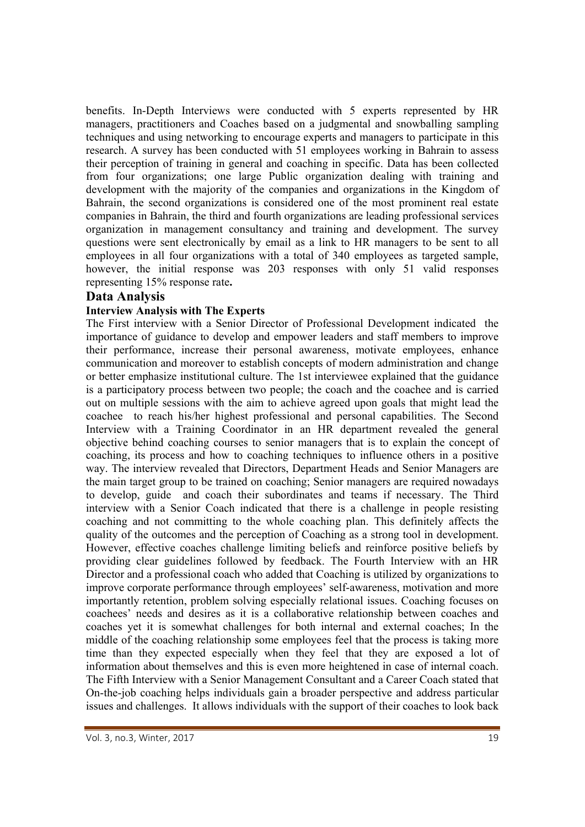benefits. In-Depth Interviews were conducted with 5 experts represented by HR managers, practitioners and Coaches based on a judgmental and snowballing sampling techniques and using networking to encourage experts and managers to participate in this research. A survey has been conducted with 51 employees working in Bahrain to assess their perception of training in general and coaching in specific. Data has been collected from four organizations; one large Public organization dealing with training and development with the majority of the companies and organizations in the Kingdom of Bahrain, the second organizations is considered one of the most prominent real estate companies in Bahrain, the third and fourth organizations are leading professional services organization in management consultancy and training and development. The survey questions were sent electronically by email as a link to HR managers to be sent to all employees in all four organizations with a total of 340 employees as targeted sample, however, the initial response was 203 responses with only 51 valid responses representing 15% response rate**.** 

## **Data Analysis**

## **Interview Analysis with The Experts**

The First interview with a Senior Director of Professional Development indicated the importance of guidance to develop and empower leaders and staff members to improve their performance, increase their personal awareness, motivate employees, enhance communication and moreover to establish concepts of modern administration and change or better emphasize institutional culture. The 1st interviewee explained that the guidance is a participatory process between two people; the coach and the coachee and is carried out on multiple sessions with the aim to achieve agreed upon goals that might lead the coachee to reach his/her highest professional and personal capabilities. The Second Interview with a Training Coordinator in an HR department revealed the general objective behind coaching courses to senior managers that is to explain the concept of coaching, its process and how to coaching techniques to influence others in a positive way. The interview revealed that Directors, Department Heads and Senior Managers are the main target group to be trained on coaching; Senior managers are required nowadays to develop, guide and coach their subordinates and teams if necessary. The Third interview with a Senior Coach indicated that there is a challenge in people resisting coaching and not committing to the whole coaching plan. This definitely affects the quality of the outcomes and the perception of Coaching as a strong tool in development. However, effective coaches challenge limiting beliefs and reinforce positive beliefs by providing clear guidelines followed by feedback. The Fourth Interview with an HR Director and a professional coach who added that Coaching is utilized by organizations to improve corporate performance through employees' self-awareness, motivation and more importantly retention, problem solving especially relational issues. Coaching focuses on coachees' needs and desires as it is a collaborative relationship between coaches and coaches yet it is somewhat challenges for both internal and external coaches; In the middle of the coaching relationship some employees feel that the process is taking more time than they expected especially when they feel that they are exposed a lot of information about themselves and this is even more heightened in case of internal coach. The Fifth Interview with a Senior Management Consultant and a Career Coach stated that On-the-job coaching helps individuals gain a broader perspective and address particular issues and challenges. It allows individuals with the support of their coaches to look back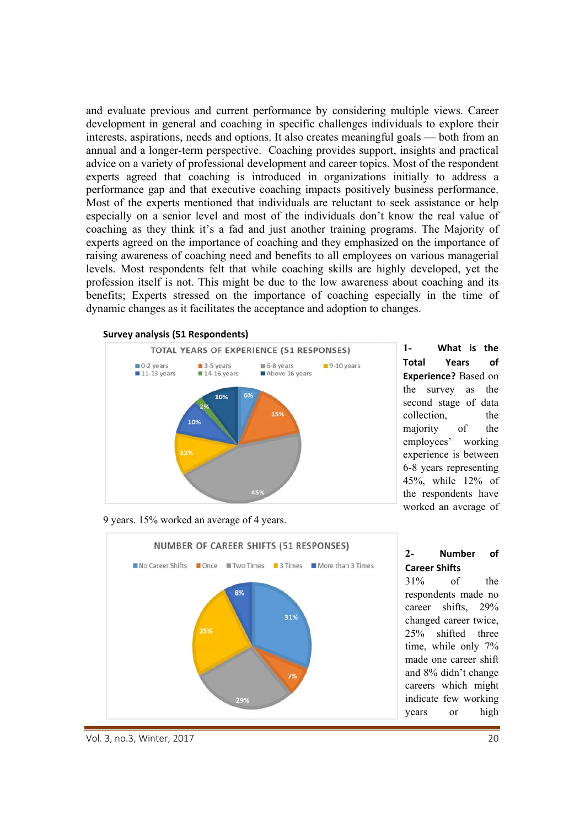and evaluate previous and current performance by considering multiple views. Career development in general and coaching in specific challenges individuals to explore their interests, aspirations, needs and options. It also creates meaningful goals — both from an annual and a longer-term perspective. Coaching provides support, insights and practical advice on a variety of professional development and career topics. Most of the respondent experts agreed that coaching is introduced in organizations initially to address a performance gap and that executive coaching impacts positively business performance. Most of the experts mentioned that individuals are reluctant to seek assistance or help especially on a senior level and most of the individuals don't know the real value of coaching as they think it's a fad and just another training programs. The Majority of experts agreed on the importance of coaching and they emphasized on the importance of raising awareness of coaching need and benefits to all employees on various managerial levels. Most respondents felt that while coaching skills are highly developed, yet the profession itself is not. This might be due to the low awareness about coaching and its benefits; Experts stressed on the importance of coaching especially in the time of dynamic changes as it facilitates the acceptance and adoption to changes.



**1- What is the Total Years of Experience?** Based on the survey as the second stage of data collection, the majority of the employees' working experience is between 6-8 years representing 45%, while 12% of the respondents have worked an average of

9 years. 15% worked an average of 4 years.



#### Vol. 3, no.3, Winter, 2017 20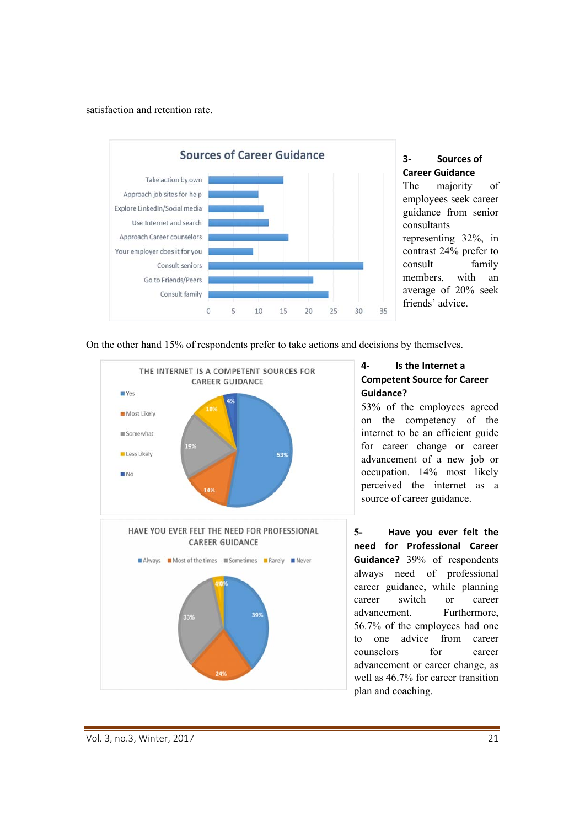satisfaction and retention rate.



# **3‐ Sources of Career Guidance**  The majority of

employees seek career guidance from senior consultants representing 32%, in contrast 24% prefer to consult family members, with an average of 20% seek friends' advice.

On the other hand 15% of respondents prefer to take actions and decisions by themselves.



## **4‐ Is the Internet a Competent Source for Career Guidance?**

53% of the employees agreed on the competency of the internet to be an efficient guide for career change or career advancement of a new job or occupation. 14% most likely perceived the internet as a source of career guidance.

**5- Have you ever felt the need for Professional Career Guidance?**  39% of respondents always need of professional career guidance, while planning career switch or career advancement. Furthermore, 56.7% of the employees had one to one advice from career counselors for career advancement or career change, as well as 46.7% for career transition plan and coaching.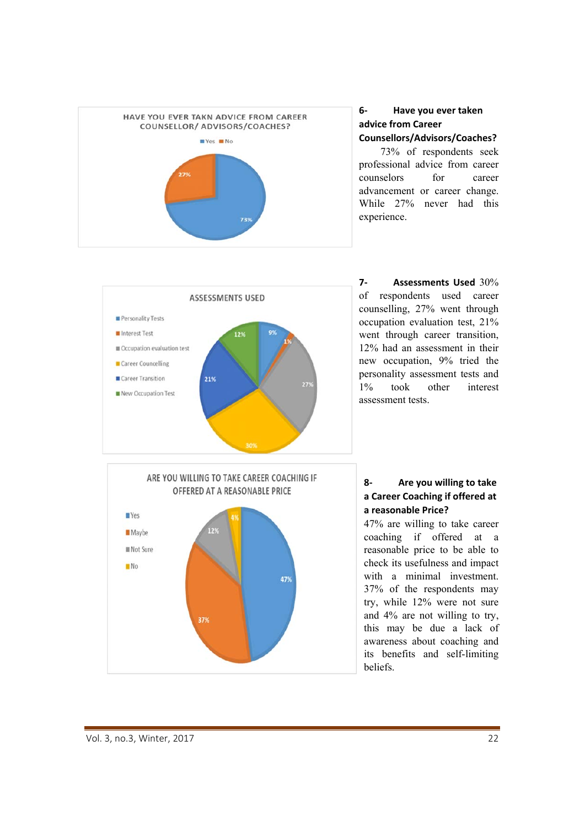

#### **6‐ Have you ever taken advice from Career Counsellors/Advisors/Coaches?**

73% of respondents seek professional advice from career counselors for career advancement or career change. While 27% never had this experience.



**7‐ Assessments Used**  30% of respondents used career counselling, 27% went through occupation evaluation test, 21% went through career transition, 12% had an assessment in their new occupation, 9% tried the personality assessment tests and 1% took other interest assessment tests.

## **8‐ Are you willing to take a Career Coaching if offered at a reasonable Price?**

47% are willing to take career coaching if offered at a reasonable price to be able to check its usefulness and impact with a minimal investment. 37% of the respondents may try, while 12% were not sure and 4% are not willing to try, this may be due a lack of awareness about coaching and its benefits and self-limiting beliefs.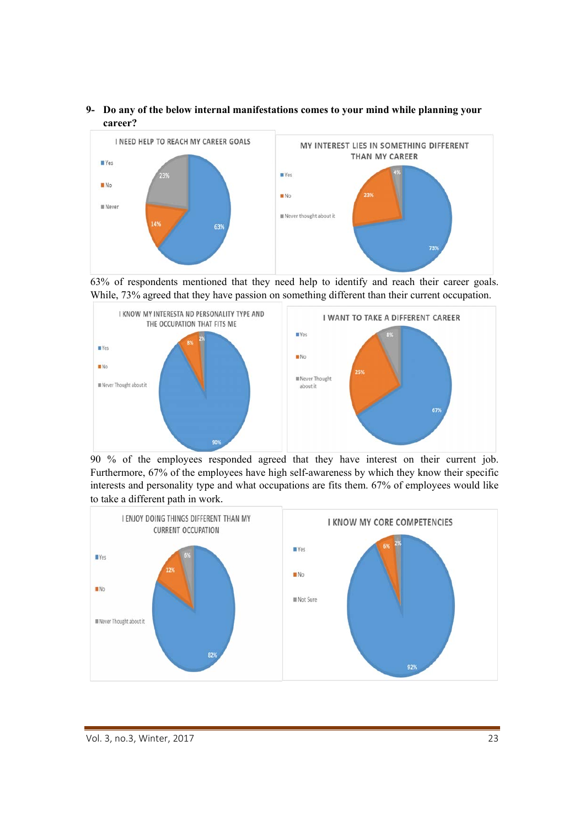**9- Do any of the below internal manifestations comes to your mind while planning your career?** 







90 % of the employees responded agreed that they have interest on their current job. Furthermore, 67% of the employees have high self-awareness by which they know their specific interests and personality type and what occupations are fits them. 67% of employees would like to take a different path in work.

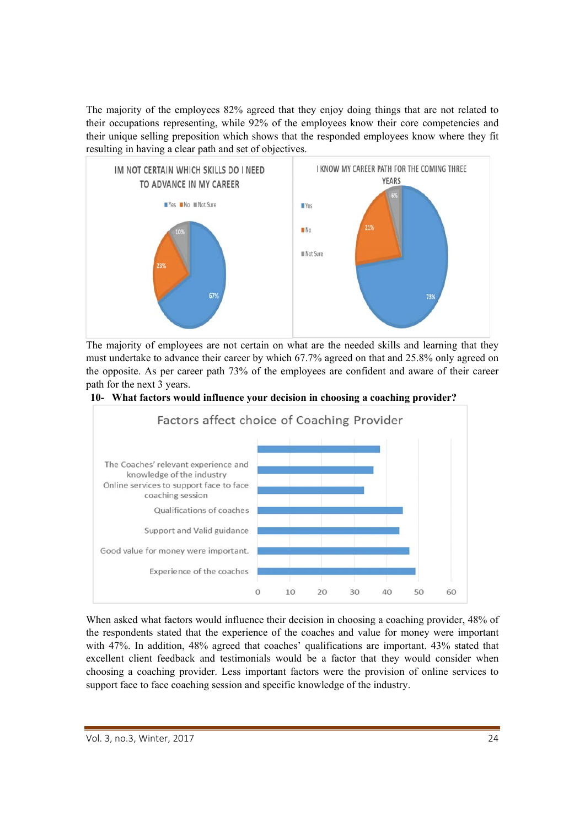The majority of the employees 82% agreed that they enjoy doing things that are not related to their occupations representing, while 92% of the employees know their core competencies and their unique selling preposition which shows that the responded employees know where they fit resulting in having a clear path and set of objectives.



The majority of employees are not certain on what are the needed skills and learning that they must undertake to advance their career by which 67.7% agreed on that and 25.8% only agreed on the opposite. As per career path 73% of the employees are confident and aware of their career path for the next 3 years.





When asked what factors would influence their decision in choosing a coaching provider, 48% of the respondents stated that the experience of the coaches and value for money were important with 47%. In addition, 48% agreed that coaches' qualifications are important. 43% stated that excellent client feedback and testimonials would be a factor that they would consider when choosing a coaching provider. Less important factors were the provision of online services to support face to face coaching session and specific knowledge of the industry.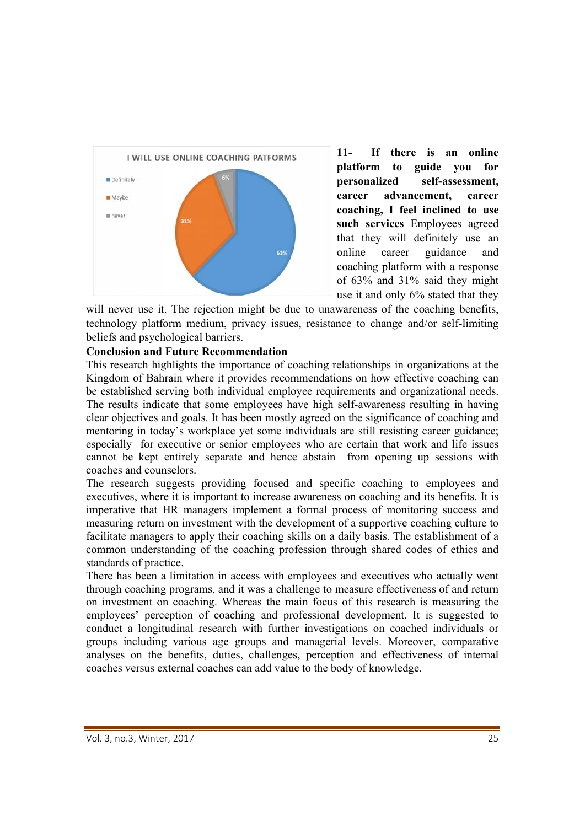

**11- If there is an online platform to guide you for personalized self-assessment, career advancement, career coaching, I feel inclined to use such services** Employees agreed that they will definitely use an online career guidance and coaching platform with a response of 63% and 31% said they might use it and only 6% stated that they

will never use it. The rejection might be due to unawareness of the coaching benefits, technology platform medium, privacy issues, resistance to change and/or self-limiting beliefs and psychological barriers.

## **Conclusion and Future Recommendation**

This research highlights the importance of coaching relationships in organizations at the Kingdom of Bahrain where it provides recommendations on how effective coaching can be established serving both individual employee requirements and organizational needs. The results indicate that some employees have high self-awareness resulting in having clear objectives and goals. It has been mostly agreed on the significance of coaching and mentoring in today's workplace yet some individuals are still resisting career guidance; especially for executive or senior employees who are certain that work and life issues cannot be kept entirely separate and hence abstain from opening up sessions with coaches and counselors.

The research suggests providing focused and specific coaching to employees and executives, where it is important to increase awareness on coaching and its benefits. It is imperative that HR managers implement a formal process of monitoring success and measuring return on investment with the development of a supportive coaching culture to facilitate managers to apply their coaching skills on a daily basis. The establishment of a common understanding of the coaching profession through shared codes of ethics and standards of practice.

There has been a limitation in access with employees and executives who actually went through coaching programs, and it was a challenge to measure effectiveness of and return on investment on coaching. Whereas the main focus of this research is measuring the employees' perception of coaching and professional development. It is suggested to conduct a longitudinal research with further investigations on coached individuals or groups including various age groups and managerial levels. Moreover, comparative analyses on the benefits, duties, challenges, perception and effectiveness of internal coaches versus external coaches can add value to the body of knowledge.